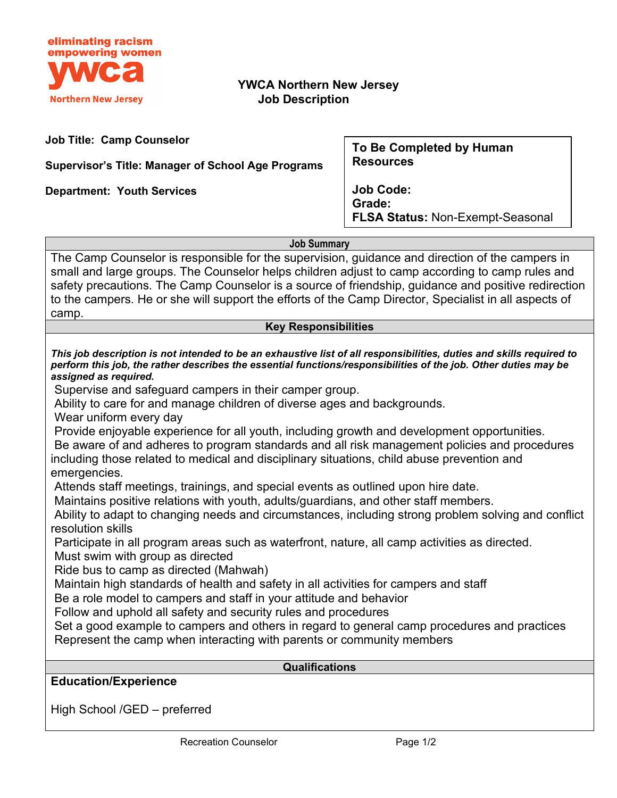

## **YWCA Northern New Jersey Job Description**

**Job Title: Camp Counselor**

**Supervisor's Title: Manager of School Age Programs**

**Department: Youth Services**

**To Be Completed by Human Resources**

**Job Code: Grade: FLSA Status:** Non-Exempt-Seasonal

**Job Summary**

The Camp Counselor is responsible for the supervision, guidance and direction of the campers in small and large groups. The Counselor helps children adjust to camp according to camp rules and safety precautions. The Camp Counselor is a source of friendship, guidance and positive redirection to the campers. He or she will support the efforts of the Camp Director, Specialist in all aspects of camp.

## **Key Responsibilities**

*This job description is not intended to be an exhaustive list of all responsibilities, duties and skills required to perform this job, the rather describes the essential functions/responsibilities of the job. Other duties may be assigned as required.*

Supervise and safeguard campers in their camper group.

Ability to care for and manage children of diverse ages and backgrounds.

Wear uniform every day

Provide enjoyable experience for all youth, including growth and development opportunities. Be aware of and adheres to program standards and all risk management policies and procedures including those related to medical and disciplinary situations, child abuse prevention and emergencies.

Attends staff meetings, trainings, and special events as outlined upon hire date.

Maintains positive relations with youth, adults/guardians, and other staff members.

Ability to adapt to changing needs and circumstances, including strong problem solving and conflict resolution skills

Participate in all program areas such as waterfront, nature, all camp activities as directed.

Must swim with group as directed

Ride bus to camp as directed (Mahwah)

Maintain high standards of health and safety in all activities for campers and staff

Be a role model to campers and staff in your attitude and behavior

Follow and uphold all safety and security rules and procedures

Set a good example to campers and others in regard to general camp procedures and practices Represent the camp when interacting with parents or community members

## **Qualifications**

**Education/Experience**

High School /GED – preferred